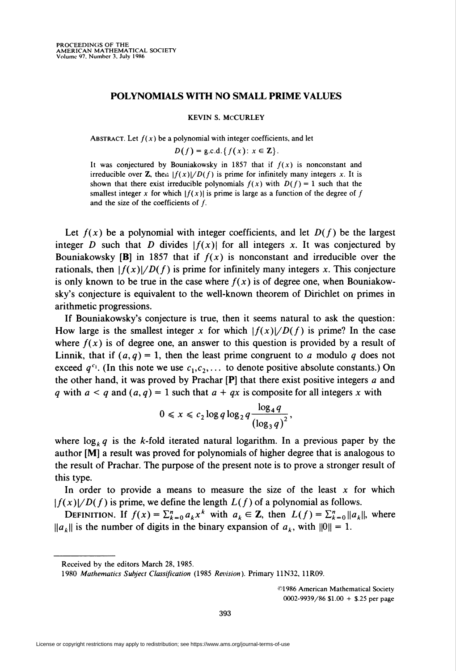## POLYNOMIALS WITH NO SMALL PRIME VALUES

KEVIN S. McCURLEY

ABSTRACT. Let  $f(x)$  be a polynomial with integer coefficients, and let

$$
D(f) = \text{g.c.d.} \{f(x) \colon x \in \mathbb{Z}\}.
$$

It was conjectured by Bouniakowsky in 1857 that if  $f(x)$  is nonconstant and irreducible over **Z**, then  $|f(x)|/D(f)$  is prime for infinitely many integers x. It is shown that there exist irreducible polynomials  $f(x)$  with  $D(f) = 1$  such that the smallest integer x for which  $|f(x)|$  is prime is large as a function of the degree of f and the size of the coefficients of /.

Let  $f(x)$  be a polynomial with integer coefficients, and let  $D(f)$  be the largest integer D such that D divides  $\frac{f(x)}{f(x)}$  for all integers x. It was conjectured by Bouniakowsky [B] in 1857 that if  $f(x)$  is nonconstant and irreducible over the rationals, then  $\frac{|f(x)|}{D(f)}$  is prime for infinitely many integers x. This conjecture is only known to be true in the case where  $f(x)$  is of degree one, when Bouniakowsky's conjecture is equivalent to the well-known theorem of Dirichlet on primes in arithmetic progressions.

If Bouniakowsky's conjecture is true, then it seems natural to ask the question: How large is the smallest integer x for which  $\frac{|f(x)|}{D(f)}$  is prime? In the case where  $f(x)$  is of degree one, an answer to this question is provided by a result of Linnik, that if  $(a, q) = 1$ , then the least prime congruent to a modulo q does not exceed  $q^{c_1}$ . (In this note we use  $c_1, c_2, \ldots$  to denote positive absolute constants.) On the other hand, it was proved by Prachar  $[P]$  that there exist positive integers  $a$  and q with  $a < q$  and  $(a, q) = 1$  such that  $a + qx$  is composite for all integers x with

$$
0 \leqslant x \leqslant c_2 \log q \log_2 q \frac{\log_4 q}{(\log_3 q)^2},
$$

where  $\log_k q$  is the k-fold iterated natural logarithm. In a previous paper by the author [M] a result was proved for polynomials of higher degree that is analogous to the result of Prachar. The purpose of the present note is to prove a stronger result of this type.

In order to provide a means to measure the size of the least  $x$  for which  $\frac{f(x)}{D(f)}$  is prime, we define the length  $L(f)$  of a polynomial as follows.

DEFINITION. If  $f(x) = \sum_{k=0}^{n} a_k x^k$  with  $a_k \in \mathbb{Z}$ , then  $L(f) = \sum_{k=0}^{n} ||a_k||$ , where  $||a_k||$  is the number of digits in the binary expansion of  $a_k$ , with  $||0|| = 1$ .

>i'1986 American Mathematical Society 0002-9939/86 \$1.00 + \$.25 per page

Received by the editors March 28, 1985.

<sup>1980</sup> Mathematics Subject Classification (1985 Revision). Primary 11N32, 11R09.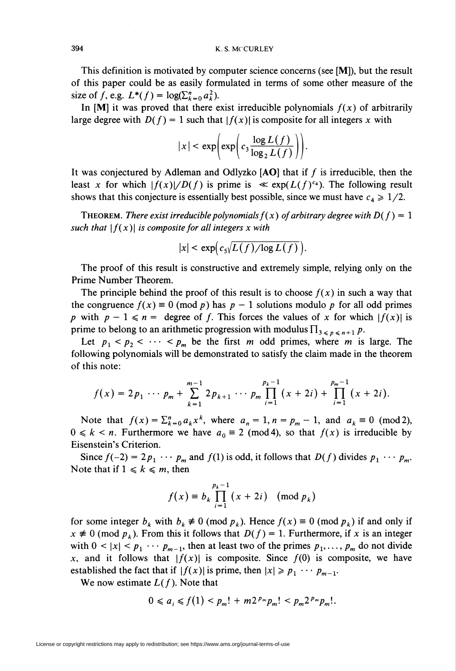This definition is motivated by computer science concerns (see [M]), but the result of this paper could be as easily formulated in terms of some other measure of the size of f, e.g.  $L^*(f) = \log(\sum_{k=0}^n a_k^2)$ .

In [M] it was proved that there exist irreducible polynomials  $f(x)$  of arbitrarily large degree with  $D(f) = 1$  such that  $|f(x)|$  is composite for all integers x with

$$
|x| < \exp\left(\exp\left(c_3 \frac{\log L(f)}{\log_2 L(f)}\right)\right).
$$

It was conjectured by Adleman and Odlyzko  $[AO]$  that if f is irreducible, then the least x for which  $|f(x)|/D(f)$  is prime is  $\ll \exp(L(f)^{c_4})$ . The following result shows that this conjecture is essentially best possible, since we must have  $c_4 \geq 1/2$ .

THEOREM. There exist irreducible polynomials  $f(x)$  of arbitrary degree with  $D(f) = 1$ such that  $|f(x)|$  is composite for all integers x with

$$
|x| < \exp\bigl(c_5\sqrt{L(f)/\log L(f)}\bigr).
$$

The proof of this result is constructive and extremely simple, relying only on the Prime Number Theorem.

The principle behind the proof of this result is to choose  $f(x)$  in such a way that the congruence  $f(x) \equiv 0 \pmod{p}$  has  $p - 1$  solutions modulo p for all odd primes p with  $p - 1 \le n =$  degree of f. This forces the values of x for which  $|f(x)|$  is prime to belong to an arithmetic progression with modulus  $\prod_{3 \leq p \leq n+1} p$ .

Let  $p_1 < p_2 < \cdots < p_m$  be the first m odd primes, where m is large. The following polynomials will be demonstrated to satisfy the claim made in the theorem of this note:

$$
f(x) = 2p_1 \cdots p_m + \sum_{k=1}^{m-1} 2p_{k+1} \cdots p_m \prod_{i=1}^{p_k-1} (x + 2i) + \prod_{i=1}^{p_m-1} (x + 2i).
$$

Note that  $f(x) = \sum_{k=0}^{n} a_k x^k$ , where  $a_n = 1, n = p_m - 1$ , and  $a_k \equiv 0 \pmod{2}$ ,  $0 \le k \le n$ . Furthermore we have  $a_0 \equiv 2 \pmod{4}$ , so that  $f(x)$  is irreducible by Eisenstein's Criterion.

Since  $f(-2) = 2p_1 \cdots p_m$  and  $f(1)$  is odd, it follows that  $D(f)$  divides  $p_1 \cdots p_m$ . Note that if  $1 \leq k \leq m$ , then

$$
f(x) \equiv b_k \prod_{i=1}^{p_k - 1} (x + 2i) \pmod{p_k}
$$

for some integer  $b_k$  with  $b_k \neq 0 \pmod{p_k}$ . Hence  $f(x) \equiv 0 \pmod{p_k}$  if and only if  $x \neq 0$  (mod  $p_k$ ). From this it follows that  $D(f) = 1$ . Furthermore, if x is an integer with  $0 < |x| < p_1 \cdots p_{m-1}$ , then at least two of the primes  $p_1, \ldots, p_m$  do not divide x, and it follows that  $|f(x)|$  is composite. Since  $f(0)$  is composite, we have established the fact that if  $|f(x)|$  is prime, then  $|x| \ge p_1 \cdots p_{m-1}$ .

We now estimate  $L(f)$ . Note that

$$
0 \leq a_i \leq f(1) < p_m! + m 2^{p_m} p_m! < p_m 2^{p_m} p_m!.
$$